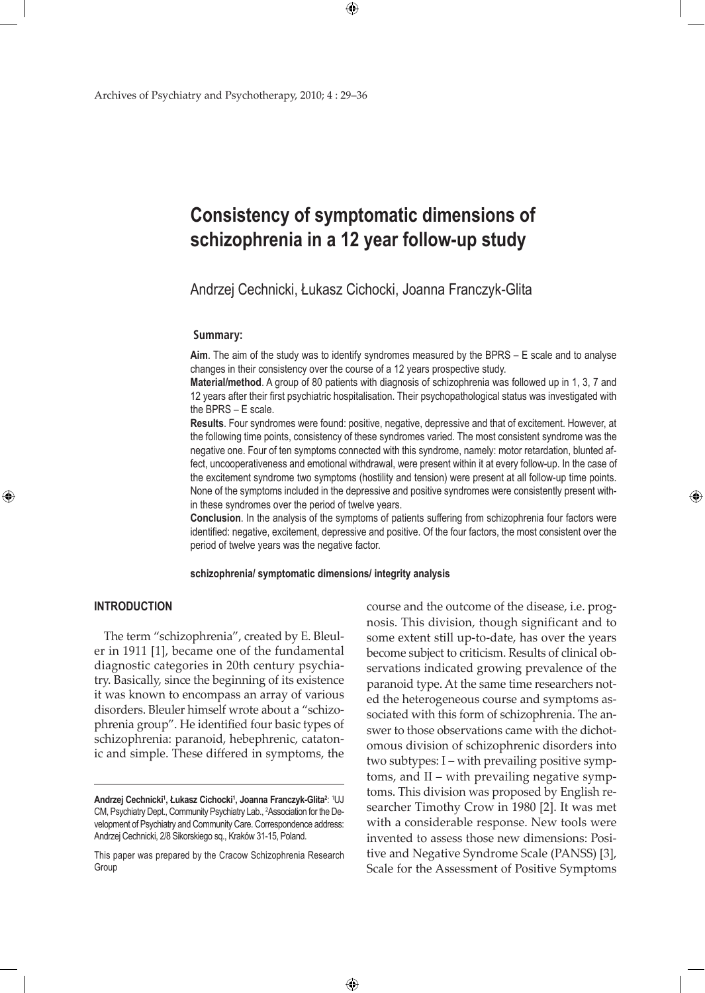# **Consistency of symptomatic dimensions of schizophrenia in a 12 year follow-up study**

Andrzej Cechnicki, Łukasz Cichocki, Joanna Franczyk-Glita

### **Summary:**

**Aim**. The aim of the study was to identify syndromes measured by the BPRS – E scale and to analyse changes in their consistency over the course of a 12 years prospective study.

**Material/method**. A group of 80 patients with diagnosis of schizophrenia was followed up in 1, 3, 7 and 12 years after their first psychiatric hospitalisation. Their psychopathological status was investigated with the BPRS – E scale.

**Results**. Four syndromes were found: positive, negative, depressive and that of excitement. However, at the following time points, consistency of these syndromes varied. The most consistent syndrome was the negative one. Four of ten symptoms connected with this syndrome, namely: motor retardation, blunted affect, uncooperativeness and emotional withdrawal, were present within it at every follow-up. In the case of the excitement syndrome two symptoms (hostility and tension) were present at all follow-up time points. None of the symptoms included in the depressive and positive syndromes were consistently present within these syndromes over the period of twelve years.

**Conclusion**. In the analysis of the symptoms of patients suffering from schizophrenia four factors were identified: negative, excitement, depressive and positive. Of the four factors, the most consistent over the period of twelve years was the negative factor.

**schizophrenia/ symptomatic dimensions/ integrity analysis**

 $\bigoplus$ 

# **INTRODUCTION**

⊕

The term "schizophrenia", created by E. Bleuler in 1911 [1], became one of the fundamental diagnostic categories in 20th century psychiatry. Basically, since the beginning of its existence it was known to encompass an array of various disorders. Bleuler himself wrote about a "schizophrenia group". He identified four basic types of schizophrenia: paranoid, hebephrenic, catatonic and simple. These differed in symptoms, the

course and the outcome of the disease, i.e. prognosis. This division, though significant and to some extent still up-to-date, has over the years become subject to criticism. Results of clinical observations indicated growing prevalence of the paranoid type. At the same time researchers noted the heterogeneous course and symptoms associated with this form of schizophrenia. The answer to those observations came with the dichotomous division of schizophrenic disorders into two subtypes: I – with prevailing positive symptoms, and II – with prevailing negative symptoms. This division was proposed by English researcher Timothy Crow in 1980 [2]. It was met with a considerable response. New tools were invented to assess those new dimensions: Positive and Negative Syndrome Scale (PANSS) [3], Scale for the Assessment of Positive Symptoms

**Andrzej Cechnicki1 , Łukasz Cichocki<sup>1</sup> , Joanna Franczyk-Glita2** : 1 UJ CM, Psychiatry Dept., Community Psychiatry Lab., 2 Association for the Development of Psychiatry and Community Care. Correspondence address: Andrzej Cechnicki, 2/8 Sikorskiego sq., Kraków 31-15, Poland.

This paper was prepared by the Cracow Schizophrenia Research Group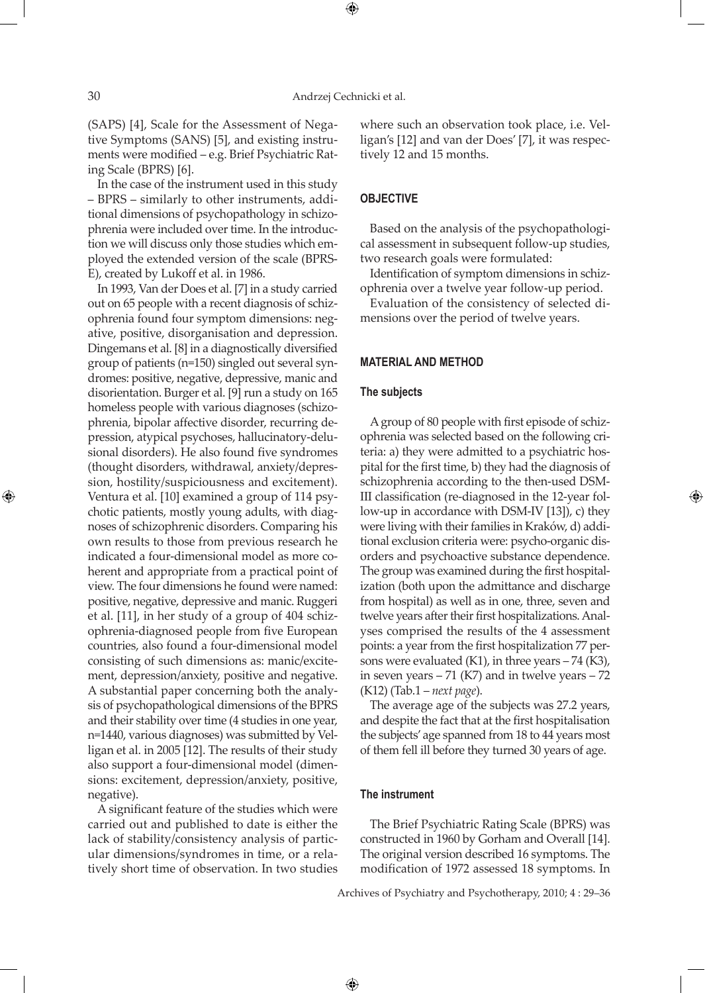⊕

(SAPS) [4], Scale for the Assessment of Negative Symptoms (SANS) [5], and existing instruments were modified – e.g. Brief Psychiatric Rating Scale (BPRS) [6].

In the case of the instrument used in this study – BPRS – similarly to other instruments, additional dimensions of psychopathology in schizophrenia were included over time. In the introduction we will discuss only those studies which employed the extended version of the scale (BPRS-E), created by Lukoff et al. in 1986.

In 1993, Van der Does et al. [7] in a study carried out on 65 people with a recent diagnosis of schizophrenia found four symptom dimensions: negative, positive, disorganisation and depression. Dingemans et al. [8] in a diagnostically diversified group of patients (n=150) singled out several syndromes: positive, negative, depressive, manic and disorientation. Burger et al. [9] run a study on 165 homeless people with various diagnoses (schizophrenia, bipolar affective disorder, recurring depression, atypical psychoses, hallucinatory-delusional disorders). He also found five syndromes (thought disorders, withdrawal, anxiety/depression, hostility/suspiciousness and excitement). Ventura et al. [10] examined a group of 114 psychotic patients, mostly young adults, with diagnoses of schizophrenic disorders. Comparing his own results to those from previous research he indicated a four-dimensional model as more coherent and appropriate from a practical point of view. The four dimensions he found were named: positive, negative, depressive and manic. Ruggeri et al. [11], in her study of a group of 404 schizophrenia-diagnosed people from five European countries, also found a four-dimensional model consisting of such dimensions as: manic/excitement, depression/anxiety, positive and negative. A substantial paper concerning both the analysis of psychopathological dimensions of the BPRS and their stability over time (4 studies in one year, n=1440, various diagnoses) was submitted by Velligan et al. in 2005 [12]. The results of their study also support a four-dimensional model (dimensions: excitement, depression/anxiety, positive, negative).

A significant feature of the studies which were carried out and published to date is either the lack of stability/consistency analysis of particular dimensions/syndromes in time, or a relatively short time of observation. In two studies

where such an observation took place, i.e. Velligan's [12] and van der Does' [7], it was respectively 12 and 15 months.

### **OBJECTIVE**

Based on the analysis of the psychopathological assessment in subsequent follow-up studies, two research goals were formulated:

Identification of symptom dimensions in schizophrenia over a twelve year follow-up period.

Evaluation of the consistency of selected dimensions over the period of twelve years.

## **material and METHOD**

#### **The subjects**

A group of 80 people with first episode of schizophrenia was selected based on the following criteria: a) they were admitted to a psychiatric hospital for the first time, b) they had the diagnosis of schizophrenia according to the then-used DSM-III classification (re-diagnosed in the 12-year follow-up in accordance with DSM-IV [13]), c) they were living with their families in Kraków, d) additional exclusion criteria were: psycho-organic disorders and psychoactive substance dependence. The group was examined during the first hospitalization (both upon the admittance and discharge from hospital) as well as in one, three, seven and twelve years after their first hospitalizations. Analyses comprised the results of the 4 assessment points: a year from the first hospitalization 77 persons were evaluated  $(K1)$ , in three years  $-74$   $(K3)$ , in seven years  $-71$  (K7) and in twelve years  $-72$ (K12) (Tab.1 – *next page*).

↔

The average age of the subjects was 27.2 years, and despite the fact that at the first hospitalisation the subjects' age spanned from 18 to 44 years most of them fell ill before they turned 30 years of age.

## **The instrument**

 $\bigoplus$ 

The Brief Psychiatric Rating Scale (BPRS) was constructed in 1960 by Gorham and Overall [14]. The original version described 16 symptoms. The modification of 1972 assessed 18 symptoms. In

Archives of Psychiatry and Psychotherapy, 2010; 4 : 29–36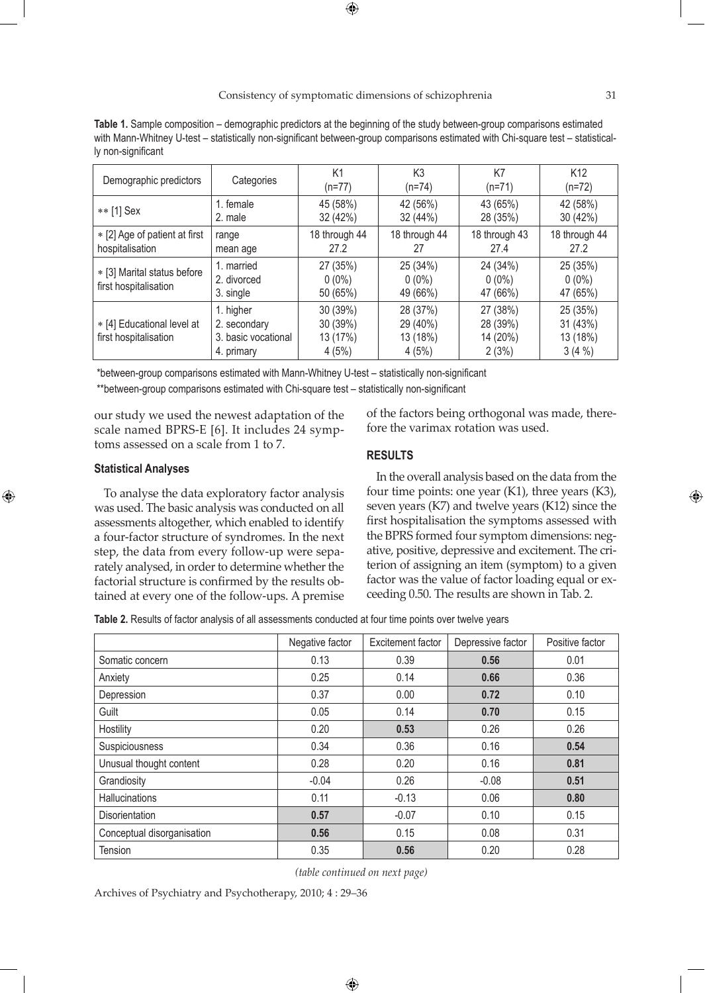**Table 1.** Sample composition – demographic predictors at the beginning of the study between-group comparisons estimated with Mann-Whitney U-test – statistically non-significant between-group comparisons estimated with Chi-square test – statistically non-significant

| Demographic predictors                               | Categories                                                     | K1<br>$(n=77)$                            | K3<br>$(n=74)$                            | K7<br>$(n=71)$                            | K <sub>12</sub><br>(n=72)               |
|------------------------------------------------------|----------------------------------------------------------------|-------------------------------------------|-------------------------------------------|-------------------------------------------|-----------------------------------------|
| ** [1] Sex                                           | 1. female<br>2. male                                           | 45 (58%)<br>32 (42%)                      | 42 (56%)<br>32 (44%)                      | 43 (65%)<br>28 (35%)                      | 42 (58%)<br>30(42%)                     |
| * [2] Age of patient at first<br>hospitalisation     | range<br>mean age                                              | 18 through 44<br>27.2                     | 18 through 44<br>27                       | 18 through 43<br>27.4                     | 18 through 44<br>27.2                   |
| * [3] Marital status before<br>first hospitalisation | 1. married<br>2. divorced<br>3. single                         | 27 (35%)<br>$0(0\%)$<br>50 (65%)          | 25 (34%)<br>$0(0\%)$<br>49 (66%)          | 24 (34%)<br>$0(0\%)$<br>47 (66%)          | 25 (35%)<br>$0(0\%)$<br>47 (65%)        |
| * [4] Educational level at<br>first hospitalisation  | 1. higher<br>2. secondary<br>3. basic vocational<br>4. primary | 30 (39%)<br>30 (39%)<br>13 (17%)<br>4(5%) | 28 (37%)<br>29 (40%)<br>13 (18%)<br>4(5%) | 27 (38%)<br>28 (39%)<br>14 (20%)<br>2(3%) | 25 (35%)<br>31(43%)<br>13 (18%)<br>3(4% |

\*between-group comparisons estimated with Mann-Whitney U-test – statistically non-significant

\*\*between-group comparisons estimated with Chi-square test – statistically non-significant

our study we used the newest adaptation of the scale named BPRS-E [6]. It includes 24 symptoms assessed on a scale from 1 to 7.

## of the factors being orthogonal was made, therefore the varimax rotation was used.

### **Statistical Analyses**

⊕

To analyse the data exploratory factor analysis was used. The basic analysis was conducted on all assessments altogether, which enabled to identify a four-factor structure of syndromes. In the next step, the data from every follow-up were separately analysed, in order to determine whether the factorial structure is confirmed by the results obtained at every one of the follow-ups. A premise

## **RESULTS**

In the overall analysis based on the data from the four time points: one year (K1), three years (K3), seven years (K7) and twelve years (K12) since the first hospitalisation the symptoms assessed with the BPRS formed four symptom dimensions: negative, positive, depressive and excitement. The criterion of assigning an item (symptom) to a given factor was the value of factor loading equal or exceeding 0.50. The results are shown in Tab. 2.

**Table 2.** Results of factor analysis of all assessments conducted at four time points over twelve years

|                            | Negative factor | Excitement factor | Depressive factor | Positive factor |
|----------------------------|-----------------|-------------------|-------------------|-----------------|
| Somatic concern            | 0.13            | 0.39              | 0.56              | 0.01            |
| Anxiety                    | 0.25            | 0.14              | 0.66              | 0.36            |
| Depression                 | 0.37            | 0.00              | 0.72              | 0.10            |
| Guilt                      | 0.05            | 0.14              | 0.70              | 0.15            |
| Hostility                  | 0.20            | 0.53              | 0.26              | 0.26            |
| Suspiciousness             | 0.34            | 0.36              | 0.16              | 0.54            |
| Unusual thought content    | 0.28            | 0.20              | 0.16              | 0.81            |
| Grandiosity                | $-0.04$         | 0.26              | $-0.08$           | 0.51            |
| <b>Hallucinations</b>      | 0.11            | $-0.13$           | 0.06              | 0.80            |
| <b>Disorientation</b>      | 0.57            | $-0.07$           | 0.10              | 0.15            |
| Conceptual disorganisation | 0.56            | 0.15              | 0.08              | 0.31            |
| <b>Tension</b>             | 0.35            | 0.56              | 0.20              | 0.28            |

*(table continued on next page)*

 $\bigoplus$ 

Archives of Psychiatry and Psychotherapy, 2010; 4 : 29–36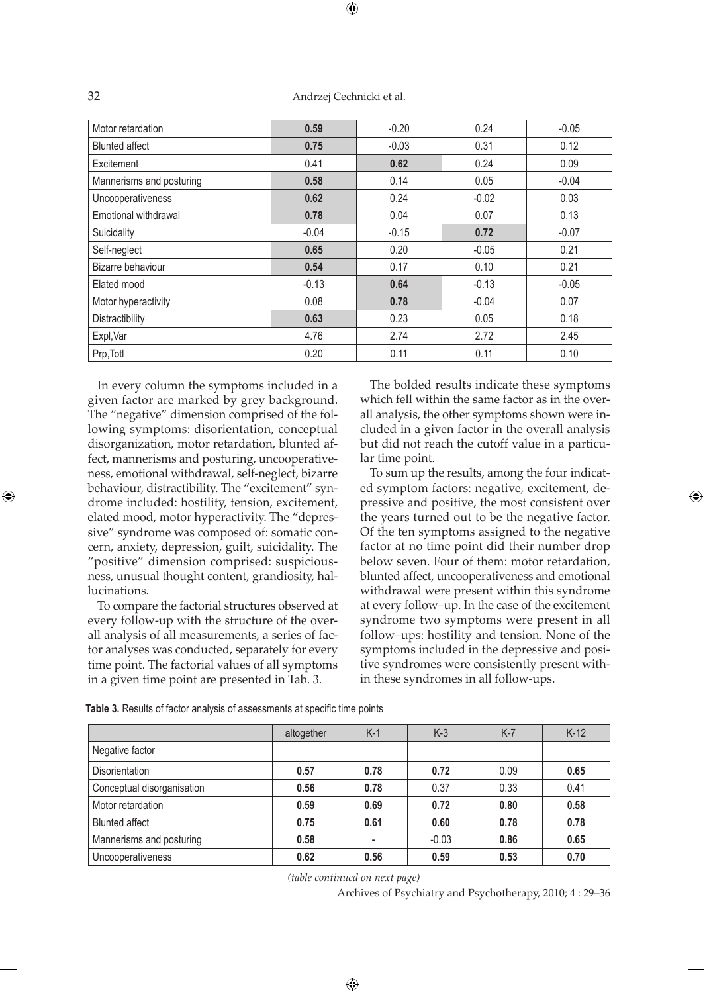## 32 Andrzej Cechnicki et al.

| Motor retardation        | 0.59    | $-0.20$ | 0.24    | $-0.05$ |
|--------------------------|---------|---------|---------|---------|
| <b>Blunted affect</b>    | 0.75    | $-0.03$ | 0.31    | 0.12    |
| Excitement               | 0.41    | 0.62    | 0.24    | 0.09    |
| Mannerisms and posturing | 0.58    | 0.14    | 0.05    | $-0.04$ |
| Uncooperativeness        | 0.62    | 0.24    | $-0.02$ | 0.03    |
| Emotional withdrawal     | 0.78    | 0.04    | 0.07    | 0.13    |
| Suicidality              | $-0.04$ | $-0.15$ | 0.72    | $-0.07$ |
| Self-neglect             | 0.65    | 0.20    | $-0.05$ | 0.21    |
| Bizarre behaviour        | 0.54    | 0.17    | 0.10    | 0.21    |
| Elated mood              | $-0.13$ | 0.64    | $-0.13$ | $-0.05$ |
| Motor hyperactivity      | 0.08    | 0.78    | $-0.04$ | 0.07    |
| Distractibility          | 0.63    | 0.23    | 0.05    | 0.18    |
| Expl, Var                | 4.76    | 2.74    | 2.72    | 2.45    |
| Prp, Totl                | 0.20    | 0.11    | 0.11    | 0.10    |

In every column the symptoms included in a given factor are marked by grey background. The "negative" dimension comprised of the following symptoms: disorientation, conceptual disorganization, motor retardation, blunted affect, mannerisms and posturing, uncooperativeness, emotional withdrawal, self-neglect, bizarre behaviour, distractibility. The "excitement" syndrome included: hostility, tension, excitement, elated mood, motor hyperactivity. The "depressive" syndrome was composed of: somatic concern, anxiety, depression, guilt, suicidality. The "positive" dimension comprised: suspiciousness, unusual thought content, grandiosity, hallucinations.

To compare the factorial structures observed at every follow-up with the structure of the overall analysis of all measurements, a series of factor analyses was conducted, separately for every time point. The factorial values of all symptoms in a given time point are presented in Tab. 3.

The bolded results indicate these symptoms which fell within the same factor as in the overall analysis, the other symptoms shown were included in a given factor in the overall analysis but did not reach the cutoff value in a particular time point.

To sum up the results, among the four indicated symptom factors: negative, excitement, depressive and positive, the most consistent over the years turned out to be the negative factor. Of the ten symptoms assigned to the negative factor at no time point did their number drop below seven. Four of them: motor retardation, blunted affect, uncooperativeness and emotional withdrawal were present within this syndrome at every follow–up. In the case of the excitement syndrome two symptoms were present in all follow–ups: hostility and tension. None of the symptoms included in the depressive and positive syndromes were consistently present within these syndromes in all follow-ups.

|                            | altogether | $K-1$ | $K-3$   | $K-7$ | $K-12$ |
|----------------------------|------------|-------|---------|-------|--------|
| Negative factor            |            |       |         |       |        |
| Disorientation             | 0.57       | 0.78  | 0.72    | 0.09  | 0.65   |
| Conceptual disorganisation | 0.56       | 0.78  | 0.37    | 0.33  | 0.41   |
| Motor retardation          | 0.59       | 0.69  | 0.72    | 0.80  | 0.58   |
| <b>Blunted affect</b>      | 0.75       | 0.61  | 0.60    | 0.78  | 0.78   |
| Mannerisms and posturing   | 0.58       |       | $-0.03$ | 0.86  | 0.65   |
| Uncooperativeness          | 0.62       | 0.56  | 0.59    | 0.53  | 0.70   |

**Table 3.** Results of factor analysis of assessments at specific time points

*(table continued on next page)*

 $\bigoplus$ 

Archives of Psychiatry and Psychotherapy, 2010; 4 : 29–36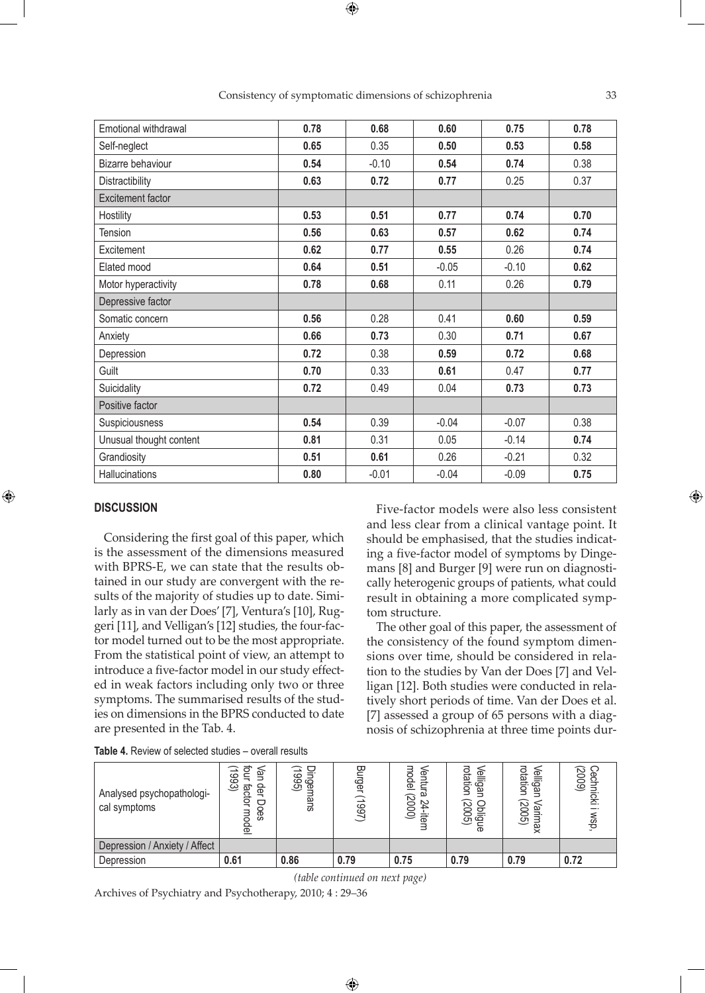| Emotional withdrawal     | 0.78 | 0.68    | 0.60    | 0.75    | 0.78 |
|--------------------------|------|---------|---------|---------|------|
| Self-neglect             | 0.65 | 0.35    | 0.50    | 0.53    | 0.58 |
| Bizarre behaviour        | 0.54 | $-0.10$ | 0.54    | 0.74    | 0.38 |
| Distractibility          | 0.63 | 0.72    | 0.77    | 0.25    | 0.37 |
| <b>Excitement factor</b> |      |         |         |         |      |
| Hostility                | 0.53 | 0.51    | 0.77    | 0.74    | 0.70 |
| Tension                  | 0.56 | 0.63    | 0.57    | 0.62    | 0.74 |
| Excitement               | 0.62 | 0.77    | 0.55    | 0.26    | 0.74 |
| Elated mood              | 0.64 | 0.51    | $-0.05$ | $-0.10$ | 0.62 |
| Motor hyperactivity      | 0.78 | 0.68    | 0.11    | 0.26    | 0.79 |
| Depressive factor        |      |         |         |         |      |
| Somatic concern          | 0.56 | 0.28    | 0.41    | 0.60    | 0.59 |
| Anxiety                  | 0.66 | 0.73    | 0.30    | 0.71    | 0.67 |
| Depression               | 0.72 | 0.38    | 0.59    | 0.72    | 0.68 |
| Guilt                    | 0.70 | 0.33    | 0.61    | 0.47    | 0.77 |
| Suicidality              | 0.72 | 0.49    | 0.04    | 0.73    | 0.73 |
| Positive factor          |      |         |         |         |      |
| Suspiciousness           | 0.54 | 0.39    | $-0.04$ | $-0.07$ | 0.38 |
| Unusual thought content  | 0.81 | 0.31    | 0.05    | $-0.14$ | 0.74 |
| Grandiosity              | 0.51 | 0.61    | 0.26    | $-0.21$ | 0.32 |
| Hallucinations           | 0.80 | $-0.01$ | $-0.04$ | $-0.09$ | 0.75 |

Consistency of symptomatic dimensions of schizophrenia 33

 $\bigoplus$ 

#### **DISCUSSION**

⊕

Considering the first goal of this paper, which is the assessment of the dimensions measured with BPRS-E, we can state that the results obtained in our study are convergent with the results of the majority of studies up to date. Similarly as in van der Does' [7], Ventura's [10], Ruggeri [11], and Velligan's [12] studies, the four-factor model turned out to be the most appropriate. From the statistical point of view, an attempt to introduce a five-factor model in our study effected in weak factors including only two or three symptoms. The summarised results of the studies on dimensions in the BPRS conducted to date are presented in the Tab. 4.

Five-factor models were also less consistent and less clear from a clinical vantage point. It should be emphasised, that the studies indicating a five-factor model of symptoms by Dingemans [8] and Burger [9] were run on diagnostically heterogenic groups of patients, what could result in obtaining a more complicated symptom structure.

The other goal of this paper, the assessment of the consistency of the found symptom dimensions over time, should be considered in relation to the studies by Van der Does [7] and Velligan [12]. Both studies were conducted in relatively short periods of time. Van der Does et al. [7] assessed a group of 65 persons with a diagnosis of schizophrenia at three time points dur-

| Analysed psychopathologi-<br>cal symptoms | த<br>ဖ<br>ဖ<br>یب<br>န<br>factor<br>ヮ<br>Oes<br>⌒<br>윤 | Dinger<br>(1995)<br>ق<br>nans | 鸟<br>Jegr<br>(L66L) | model<br>Ventu<br>نم<br>(2000)<br>24<br>बैं | <b>Velligan</b><br>rotation<br>Obligue<br>(2005) | <b>Velligan</b><br>rotation<br>(2005)<br>Varimax | Cechni<br>(2009)<br>lidki<br>wsp. |
|-------------------------------------------|--------------------------------------------------------|-------------------------------|---------------------|---------------------------------------------|--------------------------------------------------|--------------------------------------------------|-----------------------------------|
| Depression / Anxiety / Affect             |                                                        |                               |                     |                                             |                                                  |                                                  |                                   |
| Depression                                | 0.61                                                   | 0.86                          | 0.79                | 0.75                                        | 0.79                                             | 0.79                                             | 0.72                              |

**Table 4.** Review of selected studies – overall results

*(table continued on next page)*

 $\bigoplus$ 

Archives of Psychiatry and Psychotherapy, 2010; 4 : 29–36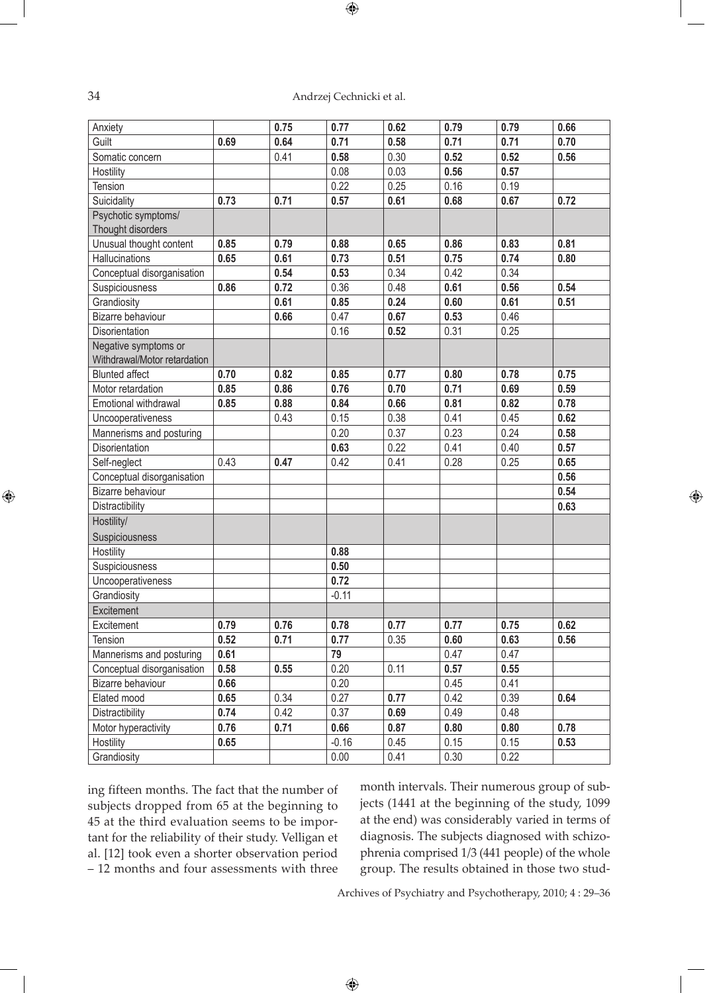## 34 Andrzej Cechnicki et al.

 $\bigoplus$ 

| Anxiety                      |      | 0.75 | 0.77    | 0.62 | 0.79 | 0.79 | 0.66 |
|------------------------------|------|------|---------|------|------|------|------|
| Guilt                        | 0.69 | 0.64 | 0.71    | 0.58 | 0.71 | 0.71 | 0.70 |
| Somatic concern              |      | 0.41 | 0.58    | 0.30 | 0.52 | 0.52 | 0.56 |
| Hostility                    |      |      | 0.08    | 0.03 | 0.56 | 0.57 |      |
| Tension                      |      |      | 0.22    | 0.25 | 0.16 | 0.19 |      |
| Suicidality                  | 0.73 | 0.71 | 0.57    | 0.61 | 0.68 | 0.67 | 0.72 |
| Psychotic symptoms/          |      |      |         |      |      |      |      |
| Thought disorders            |      |      |         |      |      |      |      |
| Unusual thought content      | 0.85 | 0.79 | 0.88    | 0.65 | 0.86 | 0.83 | 0.81 |
| Hallucinations               | 0.65 | 0.61 | 0.73    | 0.51 | 0.75 | 0.74 | 0.80 |
| Conceptual disorganisation   |      | 0.54 | 0.53    | 0.34 | 0.42 | 0.34 |      |
| Suspiciousness               | 0.86 | 0.72 | 0.36    | 0.48 | 0.61 | 0.56 | 0.54 |
| Grandiosity                  |      | 0.61 | 0.85    | 0.24 | 0.60 | 0.61 | 0.51 |
| Bizarre behaviour            |      | 0.66 | 0.47    | 0.67 | 0.53 | 0.46 |      |
| Disorientation               |      |      | 0.16    | 0.52 | 0.31 | 0.25 |      |
| Negative symptoms or         |      |      |         |      |      |      |      |
| Withdrawal/Motor retardation |      |      |         |      |      |      |      |
| <b>Blunted affect</b>        | 0.70 | 0.82 | 0.85    | 0.77 | 0.80 | 0.78 | 0.75 |
| Motor retardation            | 0.85 | 0.86 | 0.76    | 0.70 | 0.71 | 0.69 | 0.59 |
| Emotional withdrawal         | 0.85 | 0.88 | 0.84    | 0.66 | 0.81 | 0.82 | 0.78 |
| Uncooperativeness            |      | 0.43 | 0.15    | 0.38 | 0.41 | 0.45 | 0.62 |
| Mannerisms and posturing     |      |      | 0.20    | 0.37 | 0.23 | 0.24 | 0.58 |
| Disorientation               |      |      | 0.63    | 0.22 | 0.41 | 0.40 | 0.57 |
| Self-neglect                 | 0.43 | 0.47 | 0.42    | 0.41 | 0.28 | 0.25 | 0.65 |
| Conceptual disorganisation   |      |      |         |      |      |      | 0.56 |
| Bizarre behaviour            |      |      |         |      |      |      | 0.54 |
| Distractibility              |      |      |         |      |      |      | 0.63 |
| Hostility/                   |      |      |         |      |      |      |      |
| Suspiciousness               |      |      |         |      |      |      |      |
| Hostility                    |      |      | 0.88    |      |      |      |      |
| Suspiciousness               |      |      | 0.50    |      |      |      |      |
| Uncooperativeness            |      |      | 0.72    |      |      |      |      |
| Grandiosity                  |      |      | $-0.11$ |      |      |      |      |
| Excitement                   |      |      |         |      |      |      |      |
| Excitement                   | 0.79 | 0.76 | 0.78    | 0.77 | 0.77 | 0.75 | 0.62 |
| Tension                      | 0.52 | 0.71 | 0.77    | 0.35 | 0.60 | 0.63 | 0.56 |
| Mannerisms and posturing     | 0.61 |      | 79      |      | 0.47 | 0.47 |      |
| Conceptual disorganisation   | 0.58 | 0.55 | 0.20    | 0.11 | 0.57 | 0.55 |      |
| Bizarre behaviour            | 0.66 |      | 0.20    |      | 0.45 | 0.41 |      |
| Elated mood                  | 0.65 | 0.34 | 0.27    | 0.77 | 0.42 | 0.39 | 0.64 |
| Distractibility              | 0.74 | 0.42 | 0.37    | 0.69 | 0.49 | 0.48 |      |
| Motor hyperactivity          | 0.76 | 0.71 | 0.66    | 0.87 | 0.80 | 0.80 | 0.78 |
| Hostility                    | 0.65 |      | $-0.16$ | 0.45 | 0.15 | 0.15 | 0.53 |
| Grandiosity                  |      |      | 0.00    | 0.41 | 0.30 | 0.22 |      |

ing fifteen months. The fact that the number of subjects dropped from 65 at the beginning to 45 at the third evaluation seems to be important for the reliability of their study. Velligan et al. [12] took even a shorter observation period – 12 months and four assessments with three

month intervals. Their numerous group of subjects (1441 at the beginning of the study, 1099 at the end) was considerably varied in terms of diagnosis. The subjects diagnosed with schizophrenia comprised 1/3 (441 people) of the whole group. The results obtained in those two stud⊕

Archives of Psychiatry and Psychotherapy, 2010; 4 : 29–36

 $\bigoplus$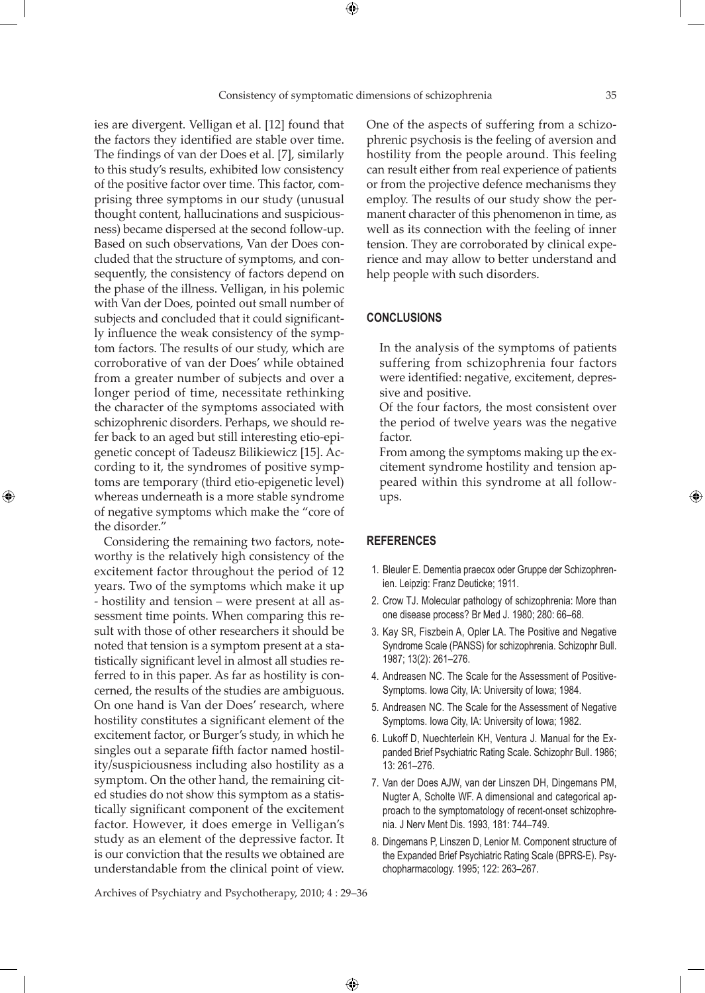⊕

ies are divergent. Velligan et al. [12] found that the factors they identified are stable over time. The findings of van der Does et al. [7], similarly to this study's results, exhibited low consistency of the positive factor over time. This factor, comprising three symptoms in our study (unusual thought content, hallucinations and suspiciousness) became dispersed at the second follow-up. Based on such observations, Van der Does concluded that the structure of symptoms, and consequently, the consistency of factors depend on the phase of the illness. Velligan, in his polemic with Van der Does, pointed out small number of subjects and concluded that it could significantly influence the weak consistency of the symptom factors. The results of our study, which are corroborative of van der Does' while obtained from a greater number of subjects and over a longer period of time, necessitate rethinking the character of the symptoms associated with schizophrenic disorders. Perhaps, we should refer back to an aged but still interesting etio-epigenetic concept of Tadeusz Bilikiewicz [15]. According to it, the syndromes of positive symptoms are temporary (third etio-epigenetic level) whereas underneath is a more stable syndrome of negative symptoms which make the "core of the disorder."

⊕

Considering the remaining two factors, noteworthy is the relatively high consistency of the excitement factor throughout the period of 12 years. Two of the symptoms which make it up - hostility and tension – were present at all assessment time points. When comparing this result with those of other researchers it should be noted that tension is a symptom present at a statistically significant level in almost all studies referred to in this paper. As far as hostility is concerned, the results of the studies are ambiguous. On one hand is Van der Does' research, where hostility constitutes a significant element of the excitement factor, or Burger's study, in which he singles out a separate fifth factor named hostility/suspiciousness including also hostility as a symptom. On the other hand, the remaining cited studies do not show this symptom as a statistically significant component of the excitement factor. However, it does emerge in Velligan's study as an element of the depressive factor. It is our conviction that the results we obtained are understandable from the clinical point of view.

One of the aspects of suffering from a schizophrenic psychosis is the feeling of aversion and hostility from the people around. This feeling can result either from real experience of patients or from the projective defence mechanisms they employ. The results of our study show the permanent character of this phenomenon in time, as well as its connection with the feeling of inner tension. They are corroborated by clinical experience and may allow to better understand and help people with such disorders.

## **CONCLUSIONS**

In the analysis of the symptoms of patients suffering from schizophrenia four factors were identified: negative, excitement, depressive and positive.

Of the four factors, the most consistent over the period of twelve years was the negative factor.

From among the symptoms making up the excitement syndrome hostility and tension appeared within this syndrome at all followups.

### **REFERENCES**

- 1. Bleuler E. Dementia praecox oder Gruppe der Schizophrenien. Leipzig: Franz Deuticke; 1911.
- 2. Crow TJ. Molecular pathology of schizophrenia: More than one disease process? Br Med J. 1980; 280: 66–68.
- 3. Kay SR, Fiszbein A, Opler LA. The Positive and Negative Syndrome Scale (PANSS) for schizophrenia. Schizophr Bull. 1987; 13(2): 261–276.
- 4. Andreasen NC. The Scale for the Assessment of Positive-Symptoms. Iowa City, IA: University of Iowa; 1984.
- 5. Andreasen NC. The Scale for the Assessment of Negative Symptoms. Iowa City, IA: University of Iowa; 1982.
- 6. Lukoff D, Nuechterlein KH, Ventura J. Manual for the Expanded Brief Psychiatric Rating Scale. Schizophr Bull. 1986; 13: 261–276.
- 7. Van der Does AJW, van der Linszen DH, Dingemans PM, Nugter A, Scholte WF. A dimensional and categorical approach to the symptomatology of recent-onset schizophrenia. J Nerv Ment Dis. 1993, 181: 744–749.
- 8. Dingemans P, Linszen D, Lenior M. Component structure of the Expanded Brief Psychiatric Rating Scale (BPRS-E). Psychopharmacology. 1995; 122: 263–267.

Archives of Psychiatry and Psychotherapy, 2010; 4 : 29–36

 $\bigoplus$